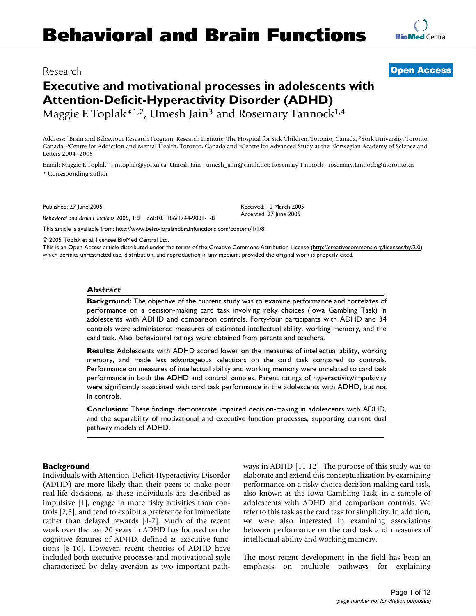# Research **[Open Access](http://www.biomedcentral.com/info/about/charter/)**

# **Executive and motivational processes in adolescents with Attention-Deficit-Hyperactivity Disorder (ADHD)** Maggie E Toplak\*<sup>1,2</sup>, Umesh Jain<sup>3</sup> and Rosemary Tannock<sup>1,4</sup>

Address: 1Brain and Behaviour Research Program, Research Institute, The Hospital for Sick Children, Toronto, Canada, 2York University, Toronto, Canada, 3Centre for Addiction and Mental Health, Toronto, Canada and 4Centre for Advanced Study at the Norwegian Academy of Science and Letters 2004–2005

Email: Maggie E Toplak\* - mtoplak@yorku.ca; Umesh Jain - umesh\_jain@camh.net; Rosemary Tannock - rosemary.tannock@utoronto.ca \* Corresponding author

Published: 27 June 2005

*Behavioral and Brain Functions* 2005, **1**:8 doi:10.1186/1744-9081-1-8

[This article is available from: http://www.behavioralandbrainfunctions.com/content/1/1/8](http://www.behavioralandbrainfunctions.com/content/1/1/8)

© 2005 Toplak et al; licensee BioMed Central Ltd.

This is an Open Access article distributed under the terms of the Creative Commons Attribution License [\(http://creativecommons.org/licenses/by/2.0\)](http://creativecommons.org/licenses/by/2.0), which permits unrestricted use, distribution, and reproduction in any medium, provided the original work is properly cited.

Received: 10 March 2005 Accepted: 27 June 2005

#### **Abstract**

**Background:** The objective of the current study was to examine performance and correlates of performance on a decision-making card task involving risky choices (Iowa Gambling Task) in adolescents with ADHD and comparison controls. Forty-four participants with ADHD and 34 controls were administered measures of estimated intellectual ability, working memory, and the card task. Also, behavioural ratings were obtained from parents and teachers.

**Results:** Adolescents with ADHD scored lower on the measures of intellectual ability, working memory, and made less advantageous selections on the card task compared to controls. Performance on measures of intellectual ability and working memory were unrelated to card task performance in both the ADHD and control samples. Parent ratings of hyperactivity/impulsivity were significantly associated with card task performance in the adolescents with ADHD, but not in controls.

**Conclusion:** These findings demonstrate impaired decision-making in adolescents with ADHD, and the separability of motivational and executive function processes, supporting current dual pathway models of ADHD.

### **Background**

Individuals with Attention-Deficit-Hyperactivity Disorder (ADHD) are more likely than their peers to make poor real-life decisions, as these individuals are described as impulsive [1], engage in more risky activities than controls [2,3], and tend to exhibit a preference for immediate rather than delayed rewards [4-7]. Much of the recent work over the last 20 years in ADHD has focused on the cognitive features of ADHD, defined as executive functions [8-10]. However, recent theories of ADHD have included both executive processes and motivational style characterized by delay aversion as two important pathways in ADHD [11,12]. The purpose of this study was to elaborate and extend this conceptualization by examining performance on a risky-choice decision-making card task, also known as the Iowa Gambling Task, in a sample of adolescents with ADHD and comparison controls. We refer to this task as the card task for simplicity. In addition, we were also interested in examining associations between performance on the card task and measures of intellectual ability and working memory.

The most recent development in the field has been an emphasis on multiple pathways for explaining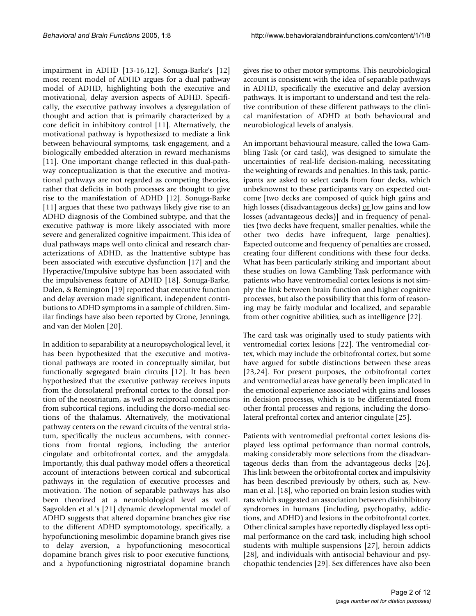impairment in ADHD [13-16,12]. Sonuga-Barke's [12] most recent model of ADHD argues for a dual pathway model of ADHD, highlighting both the executive and motivational, delay aversion aspects of ADHD. Specifically, the executive pathway involves a dysregulation of thought and action that is primarily characterized by a core deficit in inhibitory control [11]. Alternatively, the motivational pathway is hypothesized to mediate a link between behavioural symptoms, task engagement, and a biologically embedded alteration in reward mechanisms [11]. One important change reflected in this dual-pathway conceptualization is that the executive and motivational pathways are not regarded as competing theories, rather that deficits in both processes are thought to give rise to the manifestation of ADHD [12]. Sonuga-Barke [11] argues that these two pathways likely give rise to an ADHD diagnosis of the Combined subtype, and that the executive pathway is more likely associated with more severe and generalized cognitive impairment. This idea of dual pathways maps well onto clinical and research characterizations of ADHD, as the Inattentive subtype has been associated with executive dysfunction [17] and the Hyperactive/Impulsive subtype has been associated with the impulsiveness feature of ADHD [18]. Sonuga-Barke, Dalen, & Remington [19] reported that executive function and delay aversion made significant, independent contributions to ADHD symptoms in a sample of children. Similar findings have also been reported by Crone, Jennings, and van der Molen [20].

In addition to separability at a neuropsychological level, it has been hypothesized that the executive and motivational pathways are rooted in conceptually similar, but functionally segregated brain circuits [12]. It has been hypothesized that the executive pathway receives inputs from the dorsolateral prefrontal cortex to the dorsal portion of the neostriatum, as well as reciprocal connections from subcortical regions, including the dorso-medial sections of the thalamus. Alternatively, the motivational pathway centers on the reward circuits of the ventral striatum, specifically the nucleus accumbens, with connections from frontal regions, including the anterior cingulate and orbitofrontal cortex, and the amygdala. Importantly, this dual pathway model offers a theoretical account of interactions between cortical and subcortical pathways in the regulation of executive processes and motivation. The notion of separable pathways has also been theorized at a neurobiological level as well. Sagvolden et al.'s [21] dynamic developmental model of ADHD suggests that altered dopamine branches give rise to the different ADHD symptomotology, specifically, a hypofunctioning mesolimbic dopamine branch gives rise to delay aversion, a hypofunctioning mesocortical dopamine branch gives risk to poor executive functions, and a hypofunctioning nigrostriatal dopamine branch

gives rise to other motor symptoms. This neurobiological account is consistent with the idea of separable pathways in ADHD, specifically the executive and delay aversion pathways. It is important to understand and test the relative contribution of these different pathways to the clinical manifestation of ADHD at both behavioural and neurobiological levels of analysis.

An important behavioural measure, called the Iowa Gambling Task (or card task), was designed to simulate the uncertainties of real-life decision-making, necessitating the weighting of rewards and penalties. In this task, participants are asked to select cards from four decks, which unbeknownst to these participants vary on expected outcome [two decks are composed of quick high gains and high losses (disadvantageous decks) <u>or l</u>ow gains and low losses (advantageous decks)] and in frequency of penalties (two decks have frequent, smaller penalties, while the other two decks have infrequent, large penalties). Expected outcome and frequency of penalties are crossed, creating four different conditions with these four decks. What has been particularly striking and important about these studies on Iowa Gambling Task performance with patients who have ventromedial cortex lesions is not simply the link between brain function and higher cognitive processes, but also the possibility that this form of reasoning may be fairly modular and localized, and separable from other cognitive abilities, such as intelligence [22].

The card task was originally used to study patients with ventromedial cortex lesions [22]. The ventromedial cortex, which may include the orbitofrontal cortex, but some have argued for subtle distinctions between these areas [23,24]. For present purposes, the orbitofrontal cortex and ventromedial areas have generally been implicated in the emotional experience associated with gains and losses in decision processes, which is to be differentiated from other frontal processes and regions, including the dorsolateral prefrontal cortex and anterior cingulate [25].

Patients with ventromedial prefrontal cortex lesions displayed less optimal performance than normal controls, making considerably more selections from the disadvantageous decks than from the advantageous decks [26]. This link between the orbitofrontal cortex and impulsivity has been described previously by others, such as, Newman et al. [18], who reported on brain lesion studies with rats which suggested an association between disinhibitory syndromes in humans (including, psychopathy, addictions, and ADHD) and lesions in the orbitofrontal cortex. Other clinical samples have reportedly displayed less optimal performance on the card task, including high school students with multiple suspensions [27], heroin addicts [28], and individuals with antisocial behaviour and psychopathic tendencies [29]. Sex differences have also been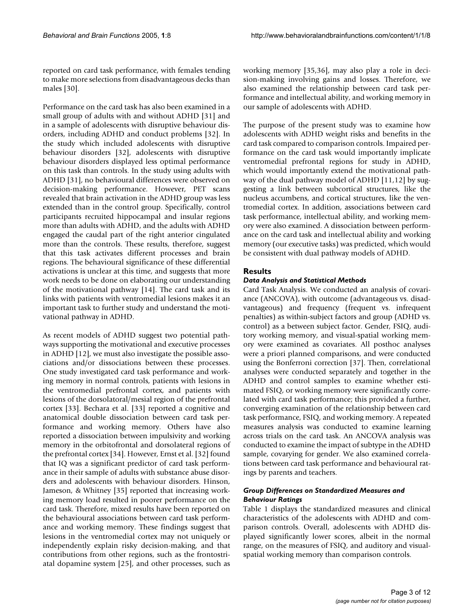reported on card task performance, with females tending to make more selections from disadvantageous decks than males [30].

Performance on the card task has also been examined in a small group of adults with and without ADHD [31] and in a sample of adolescents with disruptive behaviour disorders, including ADHD and conduct problems [32]. In the study which included adolescents with disruptive behaviour disorders [32], adolescents with disruptive behaviour disorders displayed less optimal performance on this task than controls. In the study using adults with ADHD [31], no behavioural differences were observed on decision-making performance. However, PET scans revealed that brain activation in the ADHD group was less extended than in the control group. Specifically, control participants recruited hippocampal and insular regions more than adults with ADHD, and the adults with ADHD engaged the caudal part of the right anterior cingulated more than the controls. These results, therefore, suggest that this task activates different processes and brain regions. The behavioural significance of these differential activations is unclear at this time, and suggests that more work needs to be done on elaborating our understanding of the motivational pathway [14]. The card task and its links with patients with ventromedial lesions makes it an important task to further study and understand the motivational pathway in ADHD.

As recent models of ADHD suggest two potential pathways supporting the motivational and executive processes in ADHD [12], we must also investigate the possible associations and/or dissociations between these processes. One study investigated card task performance and working memory in normal controls, patients with lesions in the ventromedial prefrontal cortex, and patients with lesions of the dorsolatoral/mesial region of the prefrontal cortex [33]. Bechara et al. [33] reported a cognitive and anatomical double dissociation between card task performance and working memory. Others have also reported a dissociation between impulsivity and working memory in the orbitofrontal and dorsolateral regions of the prefrontal cortex [34]. However, Ernst et al. [32] found that IQ was a significant predictor of card task performance in their sample of adults with substance abuse disorders and adolescents with behaviour disorders. Hinson, Jameson, & Whitney [35] reported that increasing working memory load resulted in poorer performance on the card task. Therefore, mixed results have been reported on the behavioural associations between card task performance and working memory. These findings suggest that lesions in the ventromedial cortex may not uniquely or independently explain risky decision-making, and that contributions from other regions, such as the frontostriatal dopamine system [25], and other processes, such as

working memory [35,36], may also play a role in decision-making involving gains and losses. Therefore, we also examined the relationship between card task performance and intellectual ability, and working memory in our sample of adolescents with ADHD.

The purpose of the present study was to examine how adolescents with ADHD weight risks and benefits in the card task compared to comparison controls. Impaired performance on the card task would importantly implicate ventromedial prefrontal regions for study in ADHD, which would importantly extend the motivational pathway of the dual pathway model of ADHD [11,12] by suggesting a link between subcortical structures, like the nucleus accumbens, and cortical structures, like the ventromedial cortex. In addition, associations between card task performance, intellectual ability, and working memory were also examined. A dissociation between performance on the card task and intellectual ability and working memory (our executive tasks) was predicted, which would be consistent with dual pathway models of ADHD.

## **Results**

## *Data Analysis and Statistical Methods*

Card Task Analysis. We conducted an analysis of covariance (ANCOVA), with outcome (advantageous vs. disadvantageous) and frequency (frequent vs. infrequent penalties) as within-subject factors and group (ADHD vs. control) as a between subject factor. Gender, FSIQ, auditory working memory, and visual-spatial working memory were examined as covariates. All posthoc analyses were a priori planned comparisons, and were conducted using the Bonferroni correction [37]. Then, correlational analyses were conducted separately and together in the ADHD and control samples to examine whether estimated FSIQ, or working memory were significantly correlated with card task performance; this provided a further, converging examination of the relationship between card task performance, FSIQ, and working memory. A repeated measures analysis was conducted to examine learning across trials on the card task. An ANCOVA analysis was conducted to examine the impact of subtype in the ADHD sample, covarying for gender. We also examined correlations between card task performance and behavioural ratings by parents and teachers.

## *Group Differences on Standardized Measures and Behaviour Ratings*

Table [1](#page-3-0) displays the standardized measures and clinical characteristics of the adolescents with ADHD and comparison controls. Overall, adolescents with ADHD displayed significantly lower scores, albeit in the normal range, on the measures of FSIQ, and auditory and visualspatial working memory than comparison controls.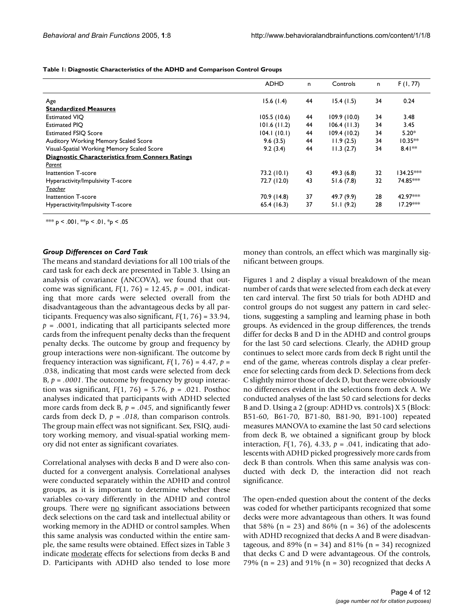<span id="page-3-0"></span>**Table 1: Diagnostic Characteristics of the ADHD and Comparison Control Groups**

|                                                        | <b>ADHD</b> | n. | Controls    | n. | F(1, 77)                |
|--------------------------------------------------------|-------------|----|-------------|----|-------------------------|
| Age                                                    | 15.6(1.4)   | 44 | 15.4(1.5)   | 34 | 0.24                    |
| <b>Standardized Measures</b>                           |             |    |             |    |                         |
| <b>Estimated VIO</b>                                   | 105.5(10.6) | 44 | 109.9(10.0) | 34 | 3.48                    |
| <b>Estimated PIO</b>                                   | 101.6(11.2) | 44 | 106.4(11.3) | 34 | 3.45                    |
| <b>Estimated FSIQ Score</b>                            | 104.1(10.1) | 44 | 109.4(10.2) | 34 | $5.20*$                 |
| Auditory Working Memory Scaled Score                   | 9.6(3.5)    | 44 | 11.9(2.5)   | 34 | $10.35**$               |
| Visual-Spatial Working Memory Scaled Score             | 9.2(3.4)    | 44 | 11.3(2.7)   | 34 | $8.41**$                |
| <b>Diagnostic Characteristics from Conners Ratings</b> |             |    |             |    |                         |
| Parent                                                 |             |    |             |    |                         |
| Inattention T-score                                    | 73.2 (10.1) | 43 | 49.3(6.8)   | 32 | l34.25 <sup>∗⊳⊭</sup> * |
| Hyperactivity/Impulsivity T-score                      | 72.7 (12.0) | 43 | 51.6(7.8)   | 32 | 74.85***                |
| Teacher                                                |             |    |             |    |                         |
| Inattention T-score                                    | 70.9 (14.8) | 37 | 49.7 (9.9)  | 28 | 42.97***                |
| Hyperactivity/Impulsivity T-score                      | 65.4 (16.3) | 37 | 51.1(9.2)   | 28 | $17.29***$              |

\*\*\* p < .001, \*\*p < .01, \*p < .05

### *Group Differences on Card Task*

The means and standard deviations for all 100 trials of the card task for each deck are presented in Table [3](#page-5-0). Using an analysis of covariance (ANCOVA), we found that outcome was significant, *F*(1, 76) = 12.45, *p* = .001, indicating that more cards were selected overall from the disadvantageous than the advantageous decks by all participants. Frequency was also significant, *F*(1, 76) = 33.94,  $p = .0001$ , indicating that all participants selected more cards from the infrequent penalty decks than the frequent penalty decks. The outcome by group and frequency by group interactions were non-significant. The outcome by frequency interaction was significant,  $F(1, 76) = 4.47$ ,  $p =$ .038, indicating that most cards were selected from deck B,  $p = .0001$ . The outcome by frequency by group interaction was significant, *F*(1, 76) = 5.76, *p* = .021. Posthoc analyses indicated that participants with ADHD selected more cards from deck  $B$ ,  $p = .045$ , and significantly fewer cards from deck  $D$ ,  $p = .018$ , than comparison controls. The group main effect was not significant. Sex, FSIQ, auditory working memory, and visual-spatial working memory did not enter as significant covariates.

Correlational analyses with decks B and D were also conducted for a convergent analysis. Correlational analyses were conducted separately within the ADHD and control groups, as it is important to determine whether these variables co-vary differently in the ADHD and control groups. There were no significant associations between deck selections on the card task and intellectual ability or working memory in the ADHD or control samples. When this same analysis was conducted within the entire sample, the same results were obtained. Effect sizes in Table [3](#page-5-0) indicate moderate effects for selections from decks B and D. Participants with ADHD also tended to lose more money than controls, an effect which was marginally significant between groups.

Figures [1](#page-5-1) and [2](#page-6-0) display a visual breakdown of the mean number of cards that were selected from each deck at every ten card interval. The first 50 trials for both ADHD and control groups do not suggest any pattern in card selections, suggesting a sampling and learning phase in both groups. As evidenced in the group differences, the trends differ for decks B and D in the ADHD and control groups for the last 50 card selections. Clearly, the ADHD group continues to select more cards from deck B right until the end of the game, whereas controls display a clear preference for selecting cards from deck D. Selections from deck C slightly mirror those of deck D, but there were obviously no differences evident in the selections from deck A. We conducted analyses of the last 50 card selections for decks B and D. Using a 2 (group: ADHD vs. controls) X 5 (Block: B51-60, B61-70, B71-80, B81-90, B91-100) repeated measures MANOVA to examine the last 50 card selections from deck B, we obtained a significant group by block interaction,  $F(1, 76)$ , 4.33,  $p = .041$ , indicating that adolescents with ADHD picked progressively more cards from deck B than controls. When this same analysis was conducted with deck D, the interaction did not reach significance.

The open-ended question about the content of the decks was coded for whether participants recognized that some decks were more advantageous than others. It was found that 58% ( $n = 23$ ) and 86% ( $n = 36$ ) of the adolescents with ADHD recognized that decks A and B were disadvantageous, and 89% ( $n = 34$ ) and 81% ( $n = 34$ ) recognized that decks C and D were advantageous. Of the controls, 79% ( $n = 23$ ) and 91% ( $n = 30$ ) recognized that decks A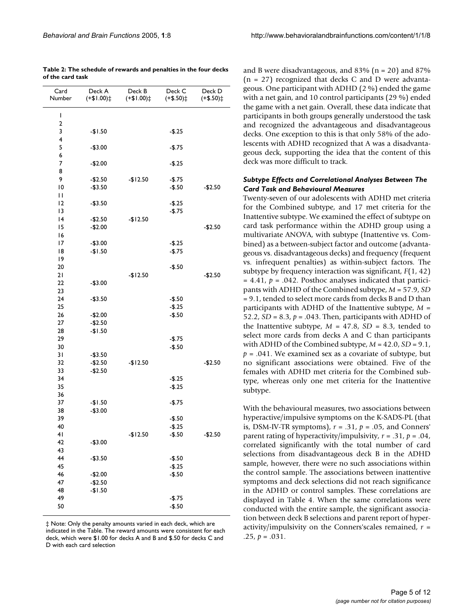<span id="page-4-0"></span>

| Table 2: The schedule of rewards and penalties in the four decks |  |
|------------------------------------------------------------------|--|
| of the card task                                                 |  |

| Card<br>Number          | Deck A<br>$(+$1.00)$ | Deck B<br>$(1.00 + )$ | Deck C<br>$(+$.50)$ | Deck D<br>$(+$.50)$ ‡ |
|-------------------------|----------------------|-----------------------|---------------------|-----------------------|
| I                       |                      |                       |                     |                       |
| $\overline{\mathbf{c}}$ |                      |                       |                     |                       |
| 3                       | -\$1.50              |                       | $-$.25$             |                       |
| 4                       |                      |                       |                     |                       |
| 5                       | $-$3.00$             |                       | $-$.75$             |                       |
| 6                       |                      |                       |                     |                       |
| 7                       | $-$2.00$             |                       | $-$.25$             |                       |
| 8                       |                      |                       |                     |                       |
| 9                       | $-$2.50$             | $-$12.50$             | $-$.75$             |                       |
| 0                       | $-$3.50$             |                       | $-$.50$             | $-$2.50$              |
| П                       |                      |                       |                     |                       |
| 2                       | $-$ \$3.50           |                       | $-$.25$             |                       |
| 13                      |                      |                       | $-$.75$             |                       |
| 4                       | $-$2.50$             | -\$12.50              |                     |                       |
| 15                      | $-$2.00$             |                       |                     | $-$2.50$              |
| 16                      |                      |                       |                     |                       |
| 17                      | $-$3.00$             |                       | $-$.25$             |                       |
| 18                      | $-$1.50$             |                       | $-$.75$             |                       |
| 19                      |                      |                       |                     |                       |
| 20                      |                      |                       | $-$.50$             |                       |
| 21                      |                      | -\$12.50              |                     | $-$2.50$              |
| 22                      | $-$3.00$             |                       |                     |                       |
| 23                      |                      |                       |                     |                       |
| 24                      | $-$3.50$             |                       | $-$.50$             |                       |
| 25                      |                      |                       | $-$.25$             |                       |
| 26                      | $-$2.00$             |                       | $-$.50$             |                       |
| 27                      | $-$2.50$             |                       |                     |                       |
| 28                      | $-$1.50$             |                       |                     |                       |
| 29                      |                      |                       | $-$.75$             |                       |
| 30                      |                      |                       | $-$.50$             |                       |
| 31                      | $-$ \$3.50           |                       |                     |                       |
| 32                      | $-$2.50$             | $-$12.50$             |                     | $-$2.50$              |
| 33                      | $-$2.50$             |                       |                     |                       |
| 34                      |                      |                       | $-$.25$             |                       |
| 35                      |                      |                       | $-$.25$             |                       |
| 36                      |                      |                       |                     |                       |
| 37                      | $-$1.50$             |                       | $-$.75$             |                       |
| 38                      | $-$3.00$             |                       |                     |                       |
| 39                      |                      |                       | $-$.50$             |                       |
| 40                      |                      |                       | $-$.25$             |                       |
| 41                      |                      | $-$12.50$             | $-$.50$             | $-$2.50$              |
| 42                      | $-$3.00$             |                       |                     |                       |
| 43                      |                      |                       |                     |                       |
| 44                      | $-$3.50$             |                       |                     |                       |
| 45                      |                      |                       | $-$.50$             |                       |
| 46                      |                      |                       | $-$.25$             |                       |
|                         | $-$2.00$             |                       | $-$.50$             |                       |
| 47                      | $-$2.50$             |                       |                     |                       |
| 48                      | $-$1.50$             |                       |                     |                       |
| 49                      |                      |                       | $-$.75$             |                       |
| 50                      |                      |                       | $-$.50$             |                       |

‡ Note: Only the penalty amounts varied in each deck, which are indicated in the Table. The reward amounts were consistent for each deck, which were \$1.00 for decks A and B and \$.50 for decks C and D with each card selection

and B were disadvantageous, and  $83\%$  (n = 20) and  $87\%$  $(n = 27)$  recognized that decks C and D were advantageous. One participant with ADHD (2 %) ended the game with a net gain, and 10 control participants (29 %) ended the game with a net gain. Overall, these data indicate that participants in both groups generally understood the task and recognized the advantageous and disadvantageous decks. One exception to this is that only 58% of the adolescents with ADHD recognized that A was a disadvantageous deck, supporting the idea that the content of this deck was more difficult to track.

## *Subtype Effects and Correlational Analyses Between The Card Task and Behavioural Measures*

Twenty-seven of our adolescents with ADHD met criteria for the Combined subtype, and 17 met criteria for the Inattentive subtype. We examined the effect of subtype on card task performance within the ADHD group using a multivariate ANOVA, with subtype (Inattentive vs. Combined) as a between-subject factor and outcome (advantageous vs. disadvantageous decks) and frequency (frequent vs. infrequent penalties) as within-subject factors. The subtype by frequency interaction was significant, *F*(1, 42)  $= 4.41, p = .042$ . Posthoc analyses indicated that participants with ADHD of the Combined subtype, *M* = 57.9, *SD* = 9.1, tended to select more cards from decks B and D than participants with ADHD of the Inattentive subtype, *M* = 52.2, *SD* = 8.3, *p* = .043. Then, participants with ADHD of the Inattentive subtype,  $M = 47.8$ ,  $SD = 8.3$ , tended to select more cards from decks A and C than participants with ADHD of the Combined subtype, *M* = 42.0, *SD* = 9.1, *p* = .041. We examined sex as a covariate of subtype, but no significant associations were obtained. Five of the females with ADHD met criteria for the Combined subtype, whereas only one met criteria for the Inattentive subtype.

With the behavioural measures, two associations between hyperactive/impulsive symptoms on the K-SADS-PL (that is, DSM-IV-TR symptoms),  $r = .31$ ,  $p = .05$ , and Conners' parent rating of hyperactivity/impulsivity, *r* = .31, *p* = .04, correlated significantly with the total number of card selections from disadvantageous deck B in the ADHD sample, however, there were no such associations within the control sample. The associations between inattentive symptoms and deck selections did not reach significance in the ADHD or control samples. These correlations are displayed in Table [4](#page-6-1). When the same correlations were conducted with the entire sample, the significant association between deck B selections and parent report of hyperactivity/impulsivity on the Conners'scales remained, *r* = .25, *p* = .031.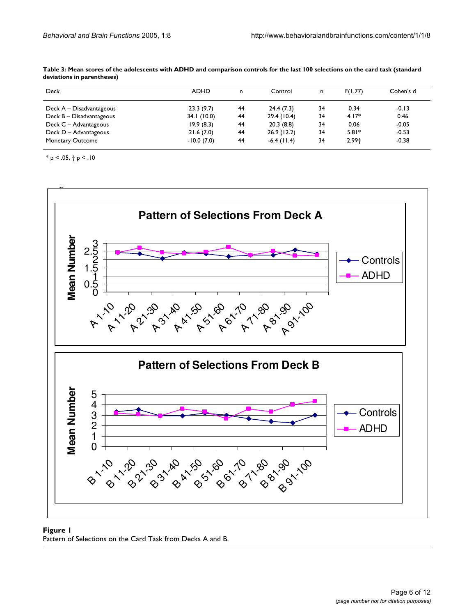| Deck                       | <b>ADHD</b>  | n  | Control       | n  | F(1,77) | Cohen's d |
|----------------------------|--------------|----|---------------|----|---------|-----------|
| Deck $A - Disadvantageous$ | 23.3(9.7)    | 44 | 24.4(7.3)     | 34 | 0.34    | $-0.13$   |
| Deck B - Disadvantageous   | 34.1(10.0)   | 44 | 29.4(10.4)    | 34 | $4.17*$ | 0.46      |
| Deck C - Advantageous      | 19.9(8.3)    | 44 | 20.3(8.8)     | 34 | 0.06    | $-0.05$   |
| Deck D - Advantageous      | 21.6(7.0)    | 44 | 26.9(12.2)    | 34 | $5.81*$ | $-0.53$   |
| Monetary Outcome           | $-10.0(7.0)$ | 44 | $-6.4$ (11.4) | 34 | $2.99+$ | $-0.38$   |

<span id="page-5-0"></span>**Table 3: Mean scores of the adolescents with ADHD and comparison controls for the last 100 selections on the card task (standard deviations in parentheses)**

\* p < .05, † p < .10

<span id="page-5-1"></span>

# **Figure 1**

Pattern of Selections on the Card Task from Decks A and B.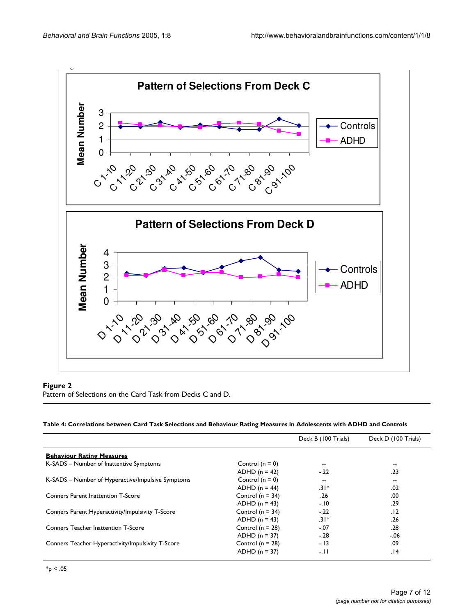<span id="page-6-0"></span>

### **Pattern of Selections on the Ca in the Ca in the Ca in the Ca in the Ca in the Ca in the Ca in the Ca in the Ca**

Pattern of Selections on the Card Task from Decks C and D.

### <span id="page-6-1"></span>**Table 4: Correlations between Card Task Selections and Behaviour Rating Measures in Adolescents with ADHD and Controls**

|                                                   |                      | Deck B (100 Trials) | Deck D (100 Trials) |  |
|---------------------------------------------------|----------------------|---------------------|---------------------|--|
| <b>Behaviour Rating Measures</b>                  |                      |                     |                     |  |
| K-SADS - Number of Inattentive Symptoms           | Control $(n = 0)$    |                     |                     |  |
|                                                   | $ADHD (n = 42)$      | $-22$               | .23                 |  |
| K-SADS – Number of Hyperactive/Impulsive Symptoms | Control $(n = 0)$    | $- -$               |                     |  |
|                                                   | $ADHD(n = 44)$       | $.31*$              | .02                 |  |
| <b>Conners Parent Inattention T-Score</b>         | Control ( $n = 34$ ) | .26                 | .00                 |  |
|                                                   | $ADHD (n = 43)$      | $-10$               | .29                 |  |
| Conners Parent Hyperactivity/Impulsivity T-Score  | Control ( $n = 34$ ) | $-22$               | .12                 |  |
|                                                   | $ADHD (n = 43)$      | $.31*$              | .26                 |  |
| <b>Conners Teacher Inattention T-Score</b>        | Control ( $n = 28$ ) | $-.07$              | .28                 |  |
|                                                   | $ADHD (n = 37)$      | $-.28$              | $-0.06$             |  |
| Conners Teacher Hyperactivity/Impulsivity T-Score | Control ( $n = 28$ ) | $-13$               | .09                 |  |
|                                                   | $ADHD (n = 37)$      | $-11$               | 14.                 |  |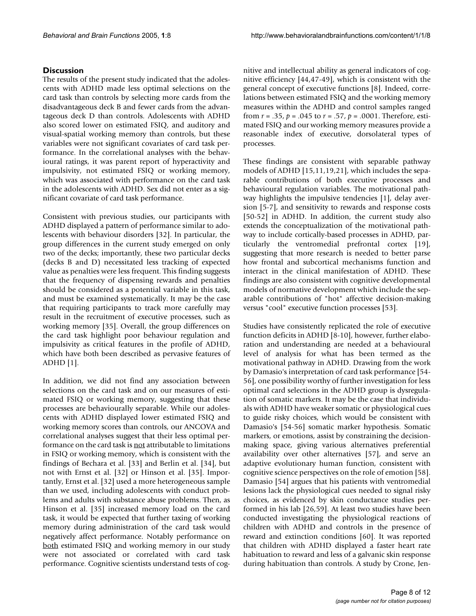## **Discussion**

The results of the present study indicated that the adolescents with ADHD made less optimal selections on the card task than controls by selecting more cards from the disadvantageous deck B and fewer cards from the advantageous deck D than controls. Adolescents with ADHD also scored lower on estimated FSIQ, and auditory and visual-spatial working memory than controls, but these variables were not significant covariates of card task performance. In the correlational analyses with the behavioural ratings, it was parent report of hyperactivity and impulsivity, not estimated FSIQ or working memory, which was associated with performance on the card task in the adolescents with ADHD. Sex did not enter as a significant covariate of card task performance.

Consistent with previous studies, our participants with ADHD displayed a pattern of performance similar to adolescents with behaviour disorders [32]. In particular, the group differences in the current study emerged on only two of the decks; importantly, these two particular decks (decks B and D) necessitated less tracking of expected value as penalties were less frequent. This finding suggests that the frequency of dispensing rewards and penalties should be considered as a potential variable in this task, and must be examined systematically. It may be the case that requiring participants to track more carefully may result in the recruitment of executive processes, such as working memory [35]. Overall, the group differences on the card task highlight poor behaviour regulation and impulsivity as critical features in the profile of ADHD, which have both been described as pervasive features of ADHD [1].

In addition, we did not find any association between selections on the card task and on our measures of estimated FSIQ or working memory, suggesting that these processes are behaviourally separable. While our adolescents with ADHD displayed lower estimated FSIQ and working memory scores than controls, our ANCOVA and correlational analyses suggest that their less optimal performance on the card task is not attributable to limitations in FSIQ or working memory, which is consistent with the findings of Bechara et al. [33] and Berlin et al. [34], but not with Ernst et al. [32] or Hinson et al. [35]. Importantly, Ernst et al. [32] used a more heterogeneous sample than we used, including adolescents with conduct problems and adults with substance abuse problems. Then, as Hinson et al. [35] increased memory load on the card task, it would be expected that further taxing of working memory during administration of the card task would negatively affect performance. Notably performance on both estimated FSIQ and working memory in our study were not associated or correlated with card task performance. Cognitive scientists understand tests of cognitive and intellectual ability as general indicators of cognitive efficiency [44,47-49], which is consistent with the general concept of executive functions [8]. Indeed, correlations between estimated FSIQ and the working memory measures within the ADHD and control samples ranged from *r* = .35, *p* = .045 to *r* = .57, *p* = .0001. Therefore, estimated FSIQ and our working memory measures provide a reasonable index of executive, dorsolateral types of processes.

These findings are consistent with separable pathway models of ADHD [15,11,19,21], which includes the separable contributions of both executive processes and behavioural regulation variables. The motivational pathway highlights the impulsive tendencies [1], delay aversion [5-7], and sensitivity to rewards and response costs [50-52] in ADHD. In addition, the current study also extends the conceptualization of the motivational pathway to include cortically-based processes in ADHD, particularly the ventromedial prefrontal cortex [19], suggesting that more research is needed to better parse how frontal and subcortical mechanisms function and interact in the clinical manifestation of ADHD. These findings are also consistent with cognitive developmental models of normative development which include the separable contributions of "hot" affective decision-making versus "cool" executive function processes [53].

Studies have consistently replicated the role of executive function deficits in ADHD [8-10], however, further elaboration and understanding are needed at a behavioural level of analysis for what has been termed as the motivational pathway in ADHD. Drawing from the work by Damasio's interpretation of card task performance [54- 56], one possibility worthy of further investigation for less optimal card selections in the ADHD group is dysregulation of somatic markers. It may be the case that individuals with ADHD have weaker somatic or physiological cues to guide risky choices, which would be consistent with Damasio's [54-56] somatic marker hypothesis. Somatic markers, or emotions, assist by constraining the decisionmaking space, giving various alternatives preferential availability over other alternatives [57], and serve an adaptive evolutionary human function, consistent with cognitive science perspectives on the role of emotion [58]. Damasio [54] argues that his patients with ventromedial lesions lack the physiological cues needed to signal risky choices, as evidenced by skin conductance studies performed in his lab [26,59]. At least two studies have been conducted investigating the physiological reactions of children with ADHD and controls in the presence of reward and extinction conditions [60]. It was reported that children with ADHD displayed a faster heart rate habituation to reward and less of a galvanic skin response during habituation than controls. A study by Crone, Jen-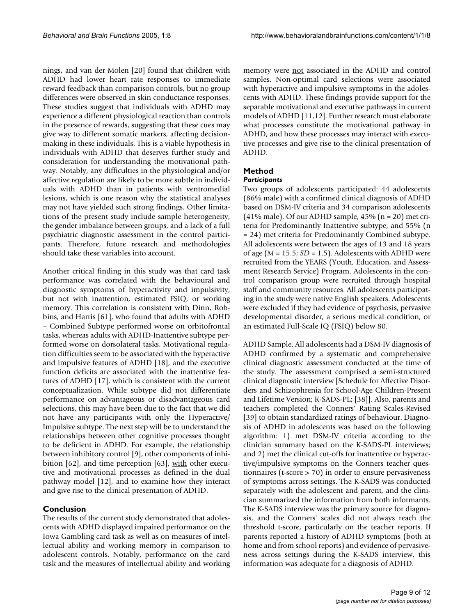nings, and van der Molen [20] found that children with ADHD had lower heart rate responses to immediate reward feedback than comparison controls, but no group differences were observed in skin conductance responses. These studies suggest that individuals with ADHD may experience a different physiological reaction than controls in the presence of rewards, suggesting that these cues may give way to different somatic markers, affecting decisionmaking in these individuals. This is a viable hypothesis in individuals with ADHD that deserves further study and consideration for understanding the motivational pathway. Notably, any difficulties in the physiological and/or affective regulation are likely to be more subtle in individuals with ADHD than in patients with ventromedial lesions, which is one reason why the statistical analyses may not have yielded such strong findings. Other limitations of the present study include sample heterogeneity, the gender imbalance between groups, and a lack of a full psychiatric diagnostic assessment in the control participants. Therefore, future research and methodologies should take these variables into account.

Another critical finding in this study was that card task performance was correlated with the behavioural and diagnostic symptoms of hyperactivity and impulsivity, but not with inattention, estimated FSIQ, or working memory. This correlation is consistent with Dinn, Robbins, and Harris [61], who found that adults with ADHD – Combined Subtype performed worse on orbitofrontal tasks, whereas adults with ADHD-Inattentive subtype performed worse on dorsolateral tasks. Motivational regulation difficulties seem to be associated with the hyperactive and impulsive features of ADHD [18], and the executive function deficits are associated with the inattentive features of ADHD [17], which is consistent with the current conceptualization. While subtype did not differentiate performance on advantageous or disadvantageous card selections, this may have been due to the fact that we did not have any participants with only the Hyperactive/ Impulsive subtype. The next step will be to understand the relationships between other cognitive processes thought to be deficient in ADHD. For example, the relationship between inhibitory control [9], other components of inhibition [62], and time perception [63],  $with$  other execu-</u> tive and motivational processes as defined in the dual pathway model [12], and to examine how they interact and give rise to the clinical presentation of ADHD.

### **Conclusion**

The results of the current study demonstrated that adolescents with ADHD displayed impaired performance on the Iowa Gambling card task as well as on measures of intellectual ability and working memory in comparison to adolescent controls. Notably, performance on the card task and the measures of intellectual ability and working

memory were **not** associated in the ADHD and control samples. Non-optimal card selections were associated with hyperactive and impulsive symptoms in the adolescents with ADHD. These findings provide support for the separable motivational and executive pathways in current models of ADHD [11,12]. Further research must elaborate what processes constitute the motivational pathway in ADHD, and how these processes may interact with executive processes and give rise to the clinical presentation of ADHD.

# **Method**

#### *Participants*

Two groups of adolescents participated: 44 adolescents (86% male) with a confirmed clinical diagnosis of ADHD based on DSM-IV criteria and 34 comparison adolescents (41% male). Of our ADHD sample, 45% ( $n = 20$ ) met criteria for Predominantly Inattentive subtype, and 55% (n = 24) met criteria for Predominantly Combined subtype. All adolescents were between the ages of 13 and 18 years of age (*M* = 15.5; *SD* = 1.5). Adolescents with ADHD were recruited from the YEARS (Youth, Education, and Assessment Research Service) Program. Adolescents in the control comparison group were recruited through hospital staff and community resources. All adolescents participating in the study were native English speakers. Adolescents were excluded if they had evidence of psychosis, pervasive developmental disorder, a serious medical condition, or an estimated Full-Scale IQ (FSIQ) below 80.

ADHD Sample. All adolescents had a DSM-IV diagnosis of ADHD confirmed by a systematic and comprehensive clinical diagnostic assessment conducted at the time of the study. The assessment comprised a semi-structured clinical diagnostic interview [Schedule for Affective Disorders and Schizophrenia for School-Age Children-Present and Lifetime Version; K-SADS-PL; [38]]. Also, parents and teachers completed the Conners' Rating Scales-Revised [39] to obtain standardized ratings of behaviour. Diagnosis of ADHD in adolescents was based on the following algorithm: 1) met DSM-IV criteria according to the clinician summary based on the K-SADS-PL interviews; and 2) met the clinical cut-offs for inattentive or hyperactive/impulsive symptoms on the Conners teacher questionnaires (t-score > 70) in order to ensure pervasiveness of symptoms across settings. The K-SADS was conducted separately with the adolescent and parent, and the clinician summarized the information from both informants. The K-SADS interview was the primary source for diagnosis, and the Conners' scales did not always reach the threshold t-score, particularly on the teacher reports. If parents reported a history of ADHD symptoms (both at home and from school reports) and evidence of pervasiveness across settings during the K-SADS interview, this information was adequate for a diagnosis of ADHD.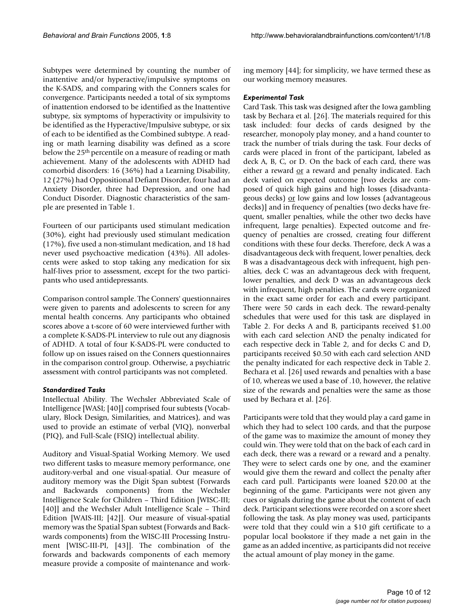Subtypes were determined by counting the number of inattentive and/or hyperactive/impulsive symptoms on the K-SADS, and comparing with the Conners scales for convergence. Participants needed a total of six symptoms of inattention endorsed to be identified as the Inattentive subtype, six symptoms of hyperactivity or impulsivity to be identified as the Hyperactive/Impulsive subtype, or six of each to be identified as the Combined subtype. A reading or math learning disability was defined as a score below the 25<sup>th</sup> percentile on a measure of reading or math achievement. Many of the adolescents with ADHD had comorbid disorders: 16 (36%) had a Learning Disability, 12 (27%) had Oppositional Defiant Disorder, four had an Anxiety Disorder, three had Depression, and one had Conduct Disorder. Diagnostic characteristics of the sample are presented in Table [1](#page-3-0).

Fourteen of our participants used stimulant medication (30%), eight had previously used stimulant medication (17%), five used a non-stimulant medication, and 18 had never used psychoactive medication (43%). All adolescents were asked to stop taking any medication for six half-lives prior to assessment, except for the two participants who used antidepressants.

Comparison control sample. The Conners' questionnaires were given to parents and adolescents to screen for any mental health concerns. Any participants who obtained scores above a t-score of 60 were interviewed further with a complete K-SADS-PL interview to rule out any diagnosis of ADHD. A total of four K-SADS-PL were conducted to follow up on issues raised on the Conners questionnaires in the comparison control group. Otherwise, a psychiatric assessment with control participants was not completed.

### *Standardized Tasks*

Intellectual Ability. The Wechsler Abbreviated Scale of Intelligence [WASI; [40]] comprised four subtests (Vocabulary, Block Design, Similarities, and Matrices), and was used to provide an estimate of verbal (VIQ), nonverbal (PIQ), and Full-Scale (FSIQ) intellectual ability.

Auditory and Visual-Spatial Working Memory. We used two different tasks to measure memory performance, one auditory-verbal and one visual-spatial. Our measure of auditory memory was the Digit Span subtest (Forwards and Backwards components) from the Wechsler Intelligence Scale for Children – Third Edition [WISC-III; [40]] and the Wechsler Adult Intelligence Scale - Third Edition [WAIS-III; [42]]. Our measure of visual-spatial memory was the Spatial Span subtest (Forwards and Backwards components) from the WISC-III Processing Instrument [WISC-III-PI, [43]]. The combination of the forwards and backwards components of each memory measure provide a composite of maintenance and working memory [44]; for simplicity, we have termed these as our working memory measures.

#### *Experimental Task*

Card Task. This task was designed after the Iowa gambling task by Bechara et al. [26]. The materials required for this task included: four decks of cards designed by the researcher, monopoly play money, and a hand counter to track the number of trials during the task. Four decks of cards were placed in front of the participant, labeled as deck A, B, C, or D. On the back of each card, there was either a reward or a reward and penalty indicated. Each deck varied on expected outcome [two decks are composed of quick high gains and high losses (disadvantageous decks) or low gains and low losses (advantageous decks)] and in frequency of penalties (two decks have frequent, smaller penalties, while the other two decks have infrequent, large penalties). Expected outcome and frequency of penalties are crossed, creating four different conditions with these four decks. Therefore, deck A was a disadvantageous deck with frequent, lower penalties, deck B was a disadvantageous deck with infrequent, high penalties, deck C was an advantageous deck with frequent, lower penalties, and deck D was an advantageous deck with infrequent, high penalties. The cards were organized in the exact same order for each and every participant. There were 50 cards in each deck. The reward-penalty schedules that were used for this task are displayed in Table [2](#page-4-0). For decks A and B, participants received \$1.00 with each card selection AND the penalty indicated for each respective deck in Table [2,](#page-4-0) and for decks C and D, participants received \$0.50 with each card selection AND the penalty indicated for each respective deck in Table [2.](#page-4-0) Bechara et al. [26] used rewards and penalties with a base of 10, whereas we used a base of .10, however, the relative size of the rewards and penalties were the same as those used by Bechara et al. [26].

Participants were told that they would play a card game in which they had to select 100 cards, and that the purpose of the game was to maximize the amount of money they could win. They were told that on the back of each card in each deck, there was a reward or a reward and a penalty. They were to select cards one by one, and the examiner would give them the reward and collect the penalty after each card pull. Participants were loaned \$20.00 at the beginning of the game. Participants were not given any cues or signals during the game about the content of each deck. Participant selections were recorded on a score sheet following the task. As play money was used, participants were told that they could win a \$10 gift certificate to a popular local bookstore if they made a net gain in the game as an added incentive, as participants did not receive the actual amount of play money in the game.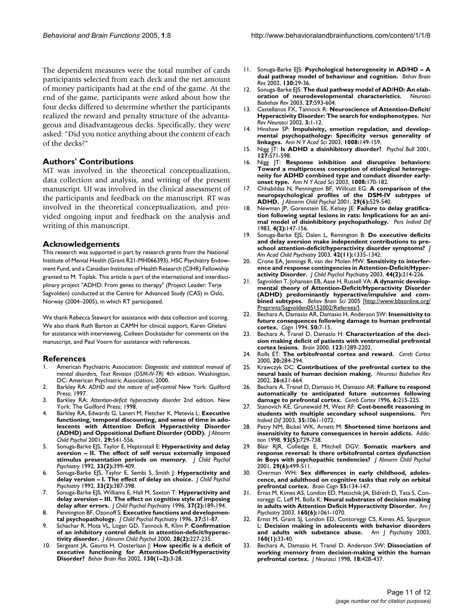The dependent measures were the total number of cards participants selected from each deck and the net amount of money participants had at the end of the game. At the end of the game, participants were asked about how the four decks differed to determine whether the participants realized the reward and penalty structure of the advantageous and disadvantageous decks. Specifically, they were asked: "Did you notice anything about the content of each of the decks?"

### **Authors' Contributions**

MT was involved in the theoretical conceptualization, data collection and analysis, and writing of the present manuscript. UJ was involved in the clinical assessment of the participants and feedback on the manuscript. RT was involved in the theoretical conceptualization, and provided ongoing input and feedback on the analysis and writing of this manuscript.

#### **Acknowledgements**

This research was supported in part by research grants from the National Institute of Mental Health (Grant R21-MH066393), HSC Psychiatry Endowment Fund, and a Canadian Institutes of Health Research (CIHR) Fellowship granted to M. Toplak. This article is part of the international and interdisciplinary project "ADHD: From genes to therapy" (Project Leader: Terje Sagvolden) conducted at the Centre for Advanced Study (CAS) in Oslo, Norway (2004–2005), in which RT participated.

We thank Rebecca Stewart for assistance with data collection and scoring. We also thank Ruth Barton at CAMH for clinical support, Karen Ghelani for assistance with interviewing, Colleen Dockstader for comments on the manuscript, and Paul Voorn for assistance with references.

#### **References**

- 1. American Psychiatric Association: *Diagnostic and statistical manual of mental disorders, Text Revision (DSM-IV-TR)* 4th edition. Washington, DC: American Psychiatric Association; 2000.
- 2. Barkley RA: *ADHD and the nature of self-control* New York: Guilford Press; 1997.
- 3. Barkley RA: *Attention-deficit hyperactivity disorder* 2nd edition. New York: The Guilford Press; 1998.
- 4. Barkley RA, Edwards G, Laneri M, Fletcher K, Metevia L: **[Executive](http://www.ncbi.nlm.nih.gov/entrez/query.fcgi?cmd=Retrieve&db=PubMed&dopt=Abstract&list_uids=11761287) [functioning, temporal discounting, and sense of time in ado](http://www.ncbi.nlm.nih.gov/entrez/query.fcgi?cmd=Retrieve&db=PubMed&dopt=Abstract&list_uids=11761287)lescents with Attention Deficit Hyperactivity Disorder [\(ADHD\) and Oppositional Defiant Disorder \(ODD\).](http://www.ncbi.nlm.nih.gov/entrez/query.fcgi?cmd=Retrieve&db=PubMed&dopt=Abstract&list_uids=11761287)** *J Abnorm Child Psychol* 2001, **29:**541-556.
- 5. Sonuga-Barke EJS, Taylor E, Heptinstall E: **[Hyperactivity and delay](http://www.ncbi.nlm.nih.gov/entrez/query.fcgi?cmd=Retrieve&db=PubMed&dopt=Abstract&list_uids=1564082) [aversion – II. The effect of self versus externally imposed](http://www.ncbi.nlm.nih.gov/entrez/query.fcgi?cmd=Retrieve&db=PubMed&dopt=Abstract&list_uids=1564082) [stimulus presentation periods on memory.](http://www.ncbi.nlm.nih.gov/entrez/query.fcgi?cmd=Retrieve&db=PubMed&dopt=Abstract&list_uids=1564082)** *J Child Psychol Psychiatry* 1992, **33(2):**399-409.
- 6. Sonuga-Barke EJS, Taylor E, Sembi S, Smith J: **[Hyperactivity and](http://www.ncbi.nlm.nih.gov/entrez/query.fcgi?cmd=Retrieve&db=PubMed&dopt=Abstract&list_uids=1564081) [delay version – I. The effect of delay on choice.](http://www.ncbi.nlm.nih.gov/entrez/query.fcgi?cmd=Retrieve&db=PubMed&dopt=Abstract&list_uids=1564081)** *J Child Psychol Psychiatry* 1992, **33(2):**387-398.
- 7. Sonuga-Barke EJS, Williams E, Hall M, Saxton T: **[Hyperactivity and](http://www.ncbi.nlm.nih.gov/entrez/query.fcgi?cmd=Retrieve&db=PubMed&dopt=Abstract&list_uids=8682898) [delay aversion – III. The effect on cognitive style of imposing](http://www.ncbi.nlm.nih.gov/entrez/query.fcgi?cmd=Retrieve&db=PubMed&dopt=Abstract&list_uids=8682898) [delay after errors.](http://www.ncbi.nlm.nih.gov/entrez/query.fcgi?cmd=Retrieve&db=PubMed&dopt=Abstract&list_uids=8682898)** *J Child Psychol Psychiatry* 1996, **37(2):**189-194.
- 8. Pennington BF, Ozonoff S: **[Executive functions and developmen](http://www.ncbi.nlm.nih.gov/entrez/query.fcgi?cmd=Retrieve&db=PubMed&dopt=Abstract&list_uids=8655658)[tal psychopathology.](http://www.ncbi.nlm.nih.gov/entrez/query.fcgi?cmd=Retrieve&db=PubMed&dopt=Abstract&list_uids=8655658)** *J Child Psychol Psychiatry* 1996, **37:**51-87.
- 9. Schachar R, Mota VL, Logan GD, Tannock R, Klim P: **[Confirmation](http://www.ncbi.nlm.nih.gov/entrez/query.fcgi?cmd=Retrieve&db=PubMed&dopt=Abstract&list_uids=10885681) [of an inhibitory control deficit in attention-deficit/hyperac](http://www.ncbi.nlm.nih.gov/entrez/query.fcgi?cmd=Retrieve&db=PubMed&dopt=Abstract&list_uids=10885681)[tivity disorder.](http://www.ncbi.nlm.nih.gov/entrez/query.fcgi?cmd=Retrieve&db=PubMed&dopt=Abstract&list_uids=10885681)** *J Abnorm Child Psychol* 2000, **28(2):**227-235.
- 10. Sergeant JA, Geurts H, Oosterlaan J: **[How specific is a deficit of](http://www.ncbi.nlm.nih.gov/entrez/query.fcgi?cmd=Retrieve&db=PubMed&dopt=Abstract&list_uids=11864714) [executive functioning for Attention-Deficit/Hyperactivity](http://www.ncbi.nlm.nih.gov/entrez/query.fcgi?cmd=Retrieve&db=PubMed&dopt=Abstract&list_uids=11864714) [Disorder?](http://www.ncbi.nlm.nih.gov/entrez/query.fcgi?cmd=Retrieve&db=PubMed&dopt=Abstract&list_uids=11864714)** *Behav Brain Res* 2002, **130(1–2):**3-28.
- 11. Sonuga-Barke EJS: **[Psychological heterogeneity in AD/HD A](http://www.ncbi.nlm.nih.gov/entrez/query.fcgi?cmd=Retrieve&db=PubMed&dopt=Abstract&list_uids=11864715) [dual pathway model of behaviour and cognition.](http://www.ncbi.nlm.nih.gov/entrez/query.fcgi?cmd=Retrieve&db=PubMed&dopt=Abstract&list_uids=11864715)** *Behav Brain Res* 2002, **130:**29-36.
- 12. Sonuga-Barke EJS: **[The dual pathway model of AD/HD: An elab](http://www.ncbi.nlm.nih.gov/entrez/query.fcgi?cmd=Retrieve&db=PubMed&dopt=Abstract&list_uids=14624804)[oration of neurodevelopmental characteristics.](http://www.ncbi.nlm.nih.gov/entrez/query.fcgi?cmd=Retrieve&db=PubMed&dopt=Abstract&list_uids=14624804)** *Neurosci Biobehav Rev* 2003, **27:**593-604.
- 13. Castellanos FX, Tannock R: **Neuroscience of Attention-Deficit/ Hyperactivity Disorder: The search for endophenotypes.** *Nat Rev Neurosci* 2002, **3:**1-12.
- 14. Hinshaw SP: **[Impulsivity, emotion regulation, and develop](http://www.ncbi.nlm.nih.gov/entrez/query.fcgi?cmd=Retrieve&db=PubMed&dopt=Abstract&list_uids=14998881)[mental psychopathology: Specificity versus generality of](http://www.ncbi.nlm.nih.gov/entrez/query.fcgi?cmd=Retrieve&db=PubMed&dopt=Abstract&list_uids=14998881) [linkages.](http://www.ncbi.nlm.nih.gov/entrez/query.fcgi?cmd=Retrieve&db=PubMed&dopt=Abstract&list_uids=14998881)** *Ann N Y Acad Sci* 2003, **1008:**149-159.
- 15. Nigg JT: **[Is ADHD a disinhibitory disorder?](http://www.ncbi.nlm.nih.gov/entrez/query.fcgi?cmd=Retrieve&db=PubMed&dopt=Abstract&list_uids=11548968)** *Psychol Bull* 2001, **127:**571-598.
- 16. Nigg JT: **[Response inhibition and disruptive behaviors:](http://www.ncbi.nlm.nih.gov/entrez/query.fcgi?cmd=Retrieve&db=PubMed&dopt=Abstract&list_uids=14998883) Toward a multiprocess conception of etiological heteroge[neity for ADHD combined type and conduct disorder early](http://www.ncbi.nlm.nih.gov/entrez/query.fcgi?cmd=Retrieve&db=PubMed&dopt=Abstract&list_uids=14998883)[onset type.](http://www.ncbi.nlm.nih.gov/entrez/query.fcgi?cmd=Retrieve&db=PubMed&dopt=Abstract&list_uids=14998883)** *Ann N Y Acad Sci* 2003, **1008:**170-182.
- 17. Chhabildas N, Pennington BF, Willcutt EG: **[A comparison of the](http://www.ncbi.nlm.nih.gov/entrez/query.fcgi?cmd=Retrieve&db=PubMed&dopt=Abstract&list_uids=11761286) [neuropsychological profiles of the DSM-IV subtypes of](http://www.ncbi.nlm.nih.gov/entrez/query.fcgi?cmd=Retrieve&db=PubMed&dopt=Abstract&list_uids=11761286) [ADHD.](http://www.ncbi.nlm.nih.gov/entrez/query.fcgi?cmd=Retrieve&db=PubMed&dopt=Abstract&list_uids=11761286)** *J Abnorm Child Psychol* 2001, **29(6):**529-540.
- 18. Newman JP, Gorenstein EE, Kelsey JE: **Failure to delay gratification following septal lesions in rats: Implications for an animal model of disinhibitory psychopathology.** *Pers Individ Dif* 1983, **4(2):**147-156.
- 19. Sonuga-Barke EJS, Dalen L, Remington B: **Do executive deficits and delay aversion make independent contributions to preschool attention-deficit/hyperactivity disorder symptoms?** *J Am Acad Child Psychiatry* 2003, **42(11):**1335-1342.
- 20. Crone EA, Jennings R, van der Molen MW: **[Sensitivity to interfer](http://www.ncbi.nlm.nih.gov/entrez/query.fcgi?cmd=Retrieve&db=PubMed&dopt=Abstract&list_uids=12587858)[ence and response contingencies in Attention-Deficit/Hyper](http://www.ncbi.nlm.nih.gov/entrez/query.fcgi?cmd=Retrieve&db=PubMed&dopt=Abstract&list_uids=12587858)[activity Disorder.](http://www.ncbi.nlm.nih.gov/entrez/query.fcgi?cmd=Retrieve&db=PubMed&dopt=Abstract&list_uids=12587858)** *J Child Psychol Psychiatry* 2003, **44(2):**214-226.
- 21. Sagvolden T, Johansen EB, Aase H, Russell VA: **A dynamic developmental theory of Attention-Deficit/Hyperactivity Disorder (ADHD) predominantly hyperactive/impulsive and combined subtypes.** *Behav Brain Sci* 2005 [[http://www.bbsonline.org/](http://www.bbsonline.org/Preprints/Sagvolden05152002/Referees/) [Preprints/Sagvolden05152002/Referees/](http://www.bbsonline.org/Preprints/Sagvolden05152002/Referees/)].
- 22. Bechara A, Damasio AR, Damasio H, Anderson SW: **Insensitivity to future consequences following damage to human prefrontal cortex.** *Cogn* 1994, **50:**7-15.
- 23. Bechara A, Tranel D, Damasio H: **Characterization of the decision making deficit of patients with ventromedial prefrontal cortex lesions.** *Brain* 2000, **123:**1289-2202.
- 24. Rolls ET: **The orbitofrontal cortex and reward.** *Cereb Cortex* 2000, **20:**284-294.
- 25. Krawczyk DC: **[Contributions of the prefrontal cortex to the](http://www.ncbi.nlm.nih.gov/entrez/query.fcgi?cmd=Retrieve&db=PubMed&dopt=Abstract&list_uids=12479840) [neural basis of human decision making.](http://www.ncbi.nlm.nih.gov/entrez/query.fcgi?cmd=Retrieve&db=PubMed&dopt=Abstract&list_uids=12479840)** *Neurosci Biobehav Rev* 2002, **26:**631-664.
- 26. Bechara A, Tranel D, Damasio H, Damasio AR: **[Failure to respond](http://www.ncbi.nlm.nih.gov/entrez/query.fcgi?cmd=Retrieve&db=PubMed&dopt=Abstract&list_uids=8670652) [automatically to anticipated future outcomes following](http://www.ncbi.nlm.nih.gov/entrez/query.fcgi?cmd=Retrieve&db=PubMed&dopt=Abstract&list_uids=8670652) [damage to prefrontal cortex.](http://www.ncbi.nlm.nih.gov/entrez/query.fcgi?cmd=Retrieve&db=PubMed&dopt=Abstract&list_uids=8670652)** *Cereb Cortex* 1996, **6:**215-225.
- 27. Stanovich KE, Grunewald M, West RF: **Cost-benefit reasoning in students with multiple secondary school suspensions.** *Pers Individ Dif* 2003, **35:**1061-1072.
- 28. Petry NM, Bickel WK, Arnett M: **[Shortened time horizons and](http://www.ncbi.nlm.nih.gov/entrez/query.fcgi?cmd=Retrieve&db=PubMed&dopt=Abstract&list_uids=9692271) [insensitivity to future consequences in heroin addicts.](http://www.ncbi.nlm.nih.gov/entrez/query.fcgi?cmd=Retrieve&db=PubMed&dopt=Abstract&list_uids=9692271)** *Addiction* 1998, **93(5):**729-738.
- 29. Blair RJR, Colledge E, Mitchell DGV: **[Somatic markers and](http://www.ncbi.nlm.nih.gov/entrez/query.fcgi?cmd=Retrieve&db=PubMed&dopt=Abstract&list_uids=11761284) [response reversal: Is there orbitofrontal cortex dysfunction](http://www.ncbi.nlm.nih.gov/entrez/query.fcgi?cmd=Retrieve&db=PubMed&dopt=Abstract&list_uids=11761284) [in Boys with psychopathic tendencies?](http://www.ncbi.nlm.nih.gov/entrez/query.fcgi?cmd=Retrieve&db=PubMed&dopt=Abstract&list_uids=11761284)** *J Abnorm Child Psychol* 2001, **29(6):**499-511.
- 30. Overman WH: **Sex differences in early childhood, adolescence, and adulthood on cognitive tasks that rely on orbital prefrontal cortex.** *Brain Cogn* **55:**134-147.
- 31. Ernst M, Kimes AS, London ED, Matochik JA, Eldreth D, Tata S, Contoreggi C, Leff M, Bolla K: **[Neural substrates of decision making](http://www.ncbi.nlm.nih.gov/entrez/query.fcgi?cmd=Retrieve&db=PubMed&dopt=Abstract&list_uids=12777263) [in adults with Attention Deficit Hyperactivity Disorder.](http://www.ncbi.nlm.nih.gov/entrez/query.fcgi?cmd=Retrieve&db=PubMed&dopt=Abstract&list_uids=12777263)** *Am J Psychiatry* 2003, **160(6):**1061-1070.
- 32. Ernst M, Grant SJ, London ED, Contoreggi CS, Kimes AS, Spurgeon L: **[Decision making in adolescents with behavior disorders](http://www.ncbi.nlm.nih.gov/entrez/query.fcgi?cmd=Retrieve&db=PubMed&dopt=Abstract&list_uids=12505799) [and adults with substance abuse.](http://www.ncbi.nlm.nih.gov/entrez/query.fcgi?cmd=Retrieve&db=PubMed&dopt=Abstract&list_uids=12505799)** *Am J Psychiatry* 2003, **160(1):**33-40.
- 33. Bechara A, Damasio H, Tranel D, Anderson SW: **[Dissociation of](http://www.ncbi.nlm.nih.gov/entrez/query.fcgi?cmd=Retrieve&db=PubMed&dopt=Abstract&list_uids=9412519) [working memory from decision-making within the human](http://www.ncbi.nlm.nih.gov/entrez/query.fcgi?cmd=Retrieve&db=PubMed&dopt=Abstract&list_uids=9412519) [prefrontal cortex.](http://www.ncbi.nlm.nih.gov/entrez/query.fcgi?cmd=Retrieve&db=PubMed&dopt=Abstract&list_uids=9412519)** *J Neurosci* 1998, **18:**428-437.